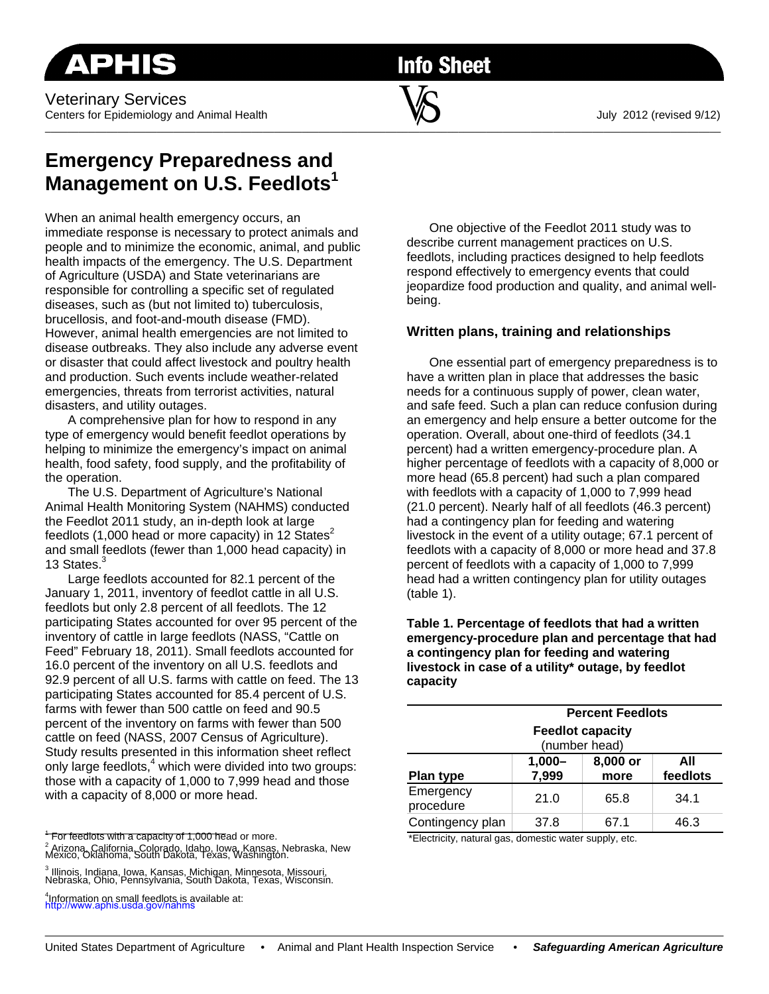**Info Sheet** 

## **Emergency Preparedness and Management on U.S. Feedlots<sup>1</sup>**

When an animal health emergency occurs, an immediate response is necessary to protect animals and people and to minimize the economic, animal, and public health impacts of the emergency. The U.S. Department of Agriculture (USDA) and State veterinarians are responsible for controlling a specific set of regulated diseases, such as (but not limited to) tuberculosis, brucellosis, and foot-and-mouth disease (FMD). However, animal health emergencies are not limited to disease outbreaks. They also include any adverse event or disaster that could affect livestock and poultry health and production. Such events include weather-related emergencies, threats from terrorist activities, natural disasters, and utility outages.

A comprehensive plan for how to respond in any type of emergency would benefit feedlot operations by helping to minimize the emergency's impact on animal health, food safety, food supply, and the profitability of the operation.

The U.S. Department of Agriculture's National Animal Health Monitoring System (NAHMS) conducted the Feedlot 2011 study, an in-depth look at large feedlots (1,000 head or more capacity) in 12 States<sup>2</sup> and small feedlots (fewer than 1,000 head capacity) in 13 States.<sup>3</sup>

Large feedlots accounted for 82.1 percent of the January 1, 2011, inventory of feedlot cattle in all U.S. feedlots but only 2.8 percent of all feedlots. The 12 participating States accounted for over 95 percent of the inventory of cattle in large feedlots (NASS, "Cattle on Feed" February 18, 2011). Small feedlots accounted for 16.0 percent of the inventory on all U.S. feedlots and 92.9 percent of all U.S. farms with cattle on feed. The 13 participating States accounted for 85.4 percent of U.S. farms with fewer than 500 cattle on feed and 90.5 percent of the inventory on farms with fewer than 500 cattle on feed (NASS, 2007 Census of Agriculture). Study results presented in this information sheet reflect only large feedlots,<sup>4</sup> which were divided into two groups: those with a capacity of 1,000 to 7,999 head and those with a capacity of 8,000 or more head.

<sup>1</sup> For feedlots with a capacity of 1,000 head or more. <sup>2</sup> Arizona, California, Colorado, Idaho, Iowa, Kansas, Nebraska, New<br>Mexico, Oklahoma, South Dakota, Texas, Washington.

3 Illinois, Indiana, Iowa, Kansas, Michigan, Minnesota, Missouri, Nebraska, Ohio, Pennsylvania, South Dakota, Texas, Wisconsin.

4 Information on small feedlots is available at: http://www.aphis.usda.gov/nahms

One objective of the Feedlot 2011 study was to describe current management practices on U.S. feedlots, including practices designed to help feedlots respond effectively to emergency events that could jeopardize food production and quality, and animal wellbeing.

## **Written plans, training and relationships**

One essential part of emergency preparedness is to have a written plan in place that addresses the basic needs for a continuous supply of power, clean water, and safe feed. Such a plan can reduce confusion during an emergency and help ensure a better outcome for the operation. Overall, about one-third of feedlots (34.1 percent) had a written emergency-procedure plan. A higher percentage of feedlots with a capacity of 8,000 or more head (65.8 percent) had such a plan compared with feedlots with a capacity of 1,000 to 7,999 head (21.0 percent). Nearly half of all feedlots (46.3 percent) had a contingency plan for feeding and watering livestock in the event of a utility outage; 67.1 percent of feedlots with a capacity of 8,000 or more head and 37.8 percent of feedlots with a capacity of 1,000 to 7,999 head had a written contingency plan for utility outages (table 1).

**Table 1. Percentage of feedlots that had a written emergency-procedure plan and percentage that had a contingency plan for feeding and watering livestock in case of a utility\* outage, by feedlot capacity** 

|                                          | <b>Percent Feedlots</b> |                  |                 |  |
|------------------------------------------|-------------------------|------------------|-----------------|--|
| <b>Feedlot capacity</b><br>(number head) |                         |                  |                 |  |
| <b>Plan type</b>                         | $1,000 -$<br>7,999      | 8,000 or<br>more | All<br>feedlots |  |
| Emergency<br>procedure                   | 21.0                    | 65.8             | 34.1            |  |
| Contingency plan                         | 37.8                    | 67.1             | 46.3            |  |

\*Electricity, natural gas, domestic water supply, etc.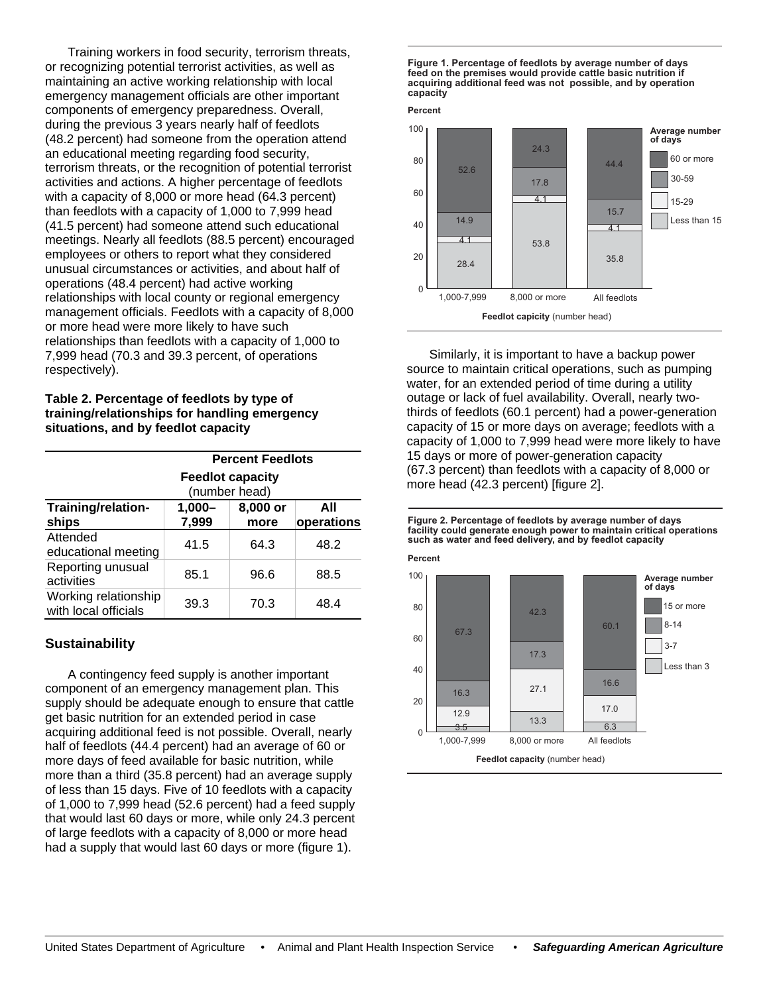Training workers in food security, terrorism threats, or recognizing potential terrorist activities, as well as maintaining an active working relationship with local emergency management officials are other important components of emergency preparedness. Overall, during the previous 3 years nearly half of feedlots (48.2 percent) had someone from the operation attend an educational meeting regarding food security, terrorism threats, or the recognition of potential terrorist activities and actions. A higher percentage of feedlots with a capacity of 8,000 or more head (64.3 percent) than feedlots with a capacity of 1,000 to 7,999 head (41.5 percent) had someone attend such educational meetings. Nearly all feedlots (88.5 percent) encouraged employees or others to report what they considered unusual circumstances or activities, and about half of operations (48.4 percent) had active working relationships with local county or regional emergency management officials. Feedlots with a capacity of 8,000 or more head were more likely to have such relationships than feedlots with a capacity of 1,000 to 7,999 head (70.3 and 39.3 percent, of operations respectively).

**Table 2. Percentage of feedlots by type of training/relationships for handling emergency situations, and by feedlot capacity** 

|                                              | <b>Percent Feedlots</b><br><b>Feedlot capacity</b><br>(number head) |                  |                   |
|----------------------------------------------|---------------------------------------------------------------------|------------------|-------------------|
| Training/relation-<br>ships                  | $1,000 -$<br>7,999                                                  | 8,000 or<br>more | ΑIΙ<br>operations |
| Attended<br>educational meeting              | 41.5                                                                | 64.3             | 48.2              |
| Reporting unusual<br>activities              | 85.1                                                                | 96.6             | 88.5              |
| Working relationship<br>with local officials | 39.3                                                                | 70.3             | 48.4              |

## **Sustainability**

A contingency feed supply is another important component of an emergency management plan. This supply should be adequate enough to ensure that cattle get basic nutrition for an extended period in case acquiring additional feed is not possible. Overall, nearly half of feedlots (44.4 percent) had an average of 60 or more days of feed available for basic nutrition, while more than a third (35.8 percent) had an average supply of less than 15 days. Five of 10 feedlots with a capacity of 1,000 to 7,999 head (52.6 percent) had a feed supply that would last 60 days or more, while only 24.3 percent of large feedlots with a capacity of 8,000 or more head had a supply that would last 60 days or more (figure 1).

**Figure 1. Percentage of feedlots by average number of days feed on the premises would provide cattle basic nutrition if acquiring additional feed was not possible, and by operation capacity**



Similarly, it is important to have a backup power source to maintain critical operations, such as pumping water, for an extended period of time during a utility outage or lack of fuel availability. Overall, nearly twothirds of feedlots (60.1 percent) had a power-generation capacity of 15 or more days on average; feedlots with a capacity of 1,000 to 7,999 head were more likely to have 15 days or more of power-generation capacity (67.3 percent) than feedlots with a capacity of 8,000 or more head (42.3 percent) [figure 2].

**Figure 2. Percentage of feedlots by average number of days facility could generate enough power to maintain critical operations such as water and feed delivery, and by feedlot capacity**